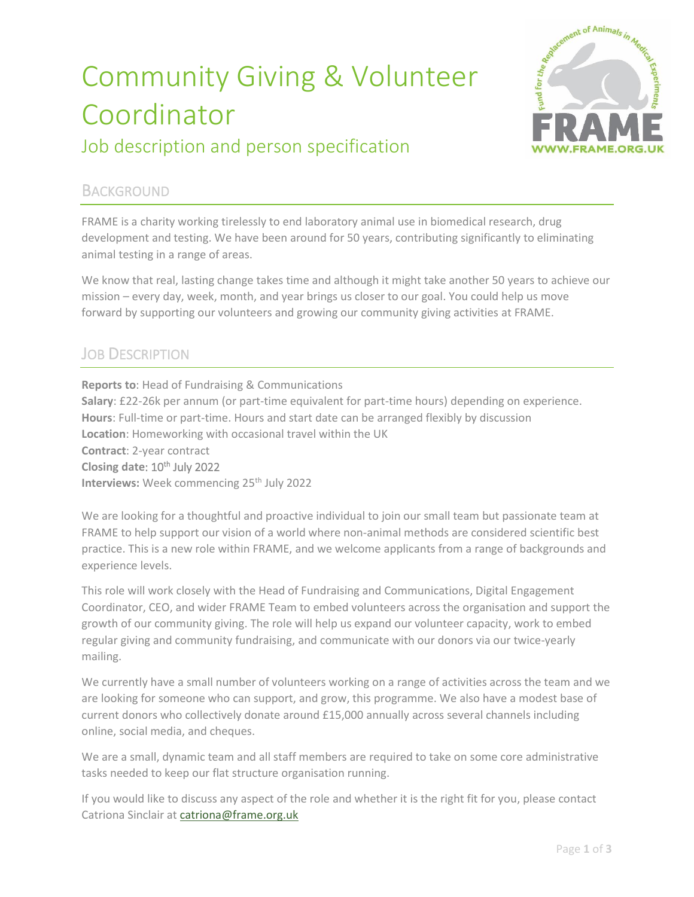# Community Giving & Volunteer Coordinator Job description and person specification



#### **BACKGROUND**

FRAME is a charity working tirelessly to end laboratory animal use in biomedical research, drug development and testing. We have been around for 50 years, contributing significantly to eliminating animal testing in a range of areas.

We know that real, lasting change takes time and although it might take another 50 years to achieve our mission – every day, week, month, and year brings us closer to our goal. You could help us move forward by supporting our volunteers and growing our community giving activities at FRAME.

### **JOB DESCRIPTION**

**Reports to**: Head of Fundraising & Communications **Salary**: £22-26k per annum (or part-time equivalent for part-time hours) depending on experience. **Hours**: Full-time or part-time. Hours and start date can be arranged flexibly by discussion **Location**: Homeworking with occasional travel within the UK **Contract**: 2-year contract **Closing date: 10<sup>th</sup> July 2022 Interviews:** Week commencing 25<sup>th</sup> July 2022

We are looking for a thoughtful and proactive individual to join our small team but passionate team at FRAME to help support our vision of a world where non-animal methods are considered scientific best practice. This is a new role within FRAME, and we welcome applicants from a range of backgrounds and experience levels.

This role will work closely with the Head of Fundraising and Communications, Digital Engagement Coordinator, CEO, and wider FRAME Team to embed volunteers across the organisation and support the growth of our community giving. The role will help us expand our volunteer capacity, work to embed regular giving and community fundraising, and communicate with our donors via our twice-yearly mailing.

We currently have a small number of volunteers working on a range of activities across the team and we are looking for someone who can support, and grow, this programme. We also have a modest base of current donors who collectively donate around £15,000 annually across several channels including online, social media, and cheques.

We are a small, dynamic team and all staff members are required to take on some core administrative tasks needed to keep our flat structure organisation running.

If you would like to discuss any aspect of the role and whether it is the right fit for you, please contact Catriona Sinclair a[t catriona@frame.org.uk](mailto:catriona@frame.org.uk)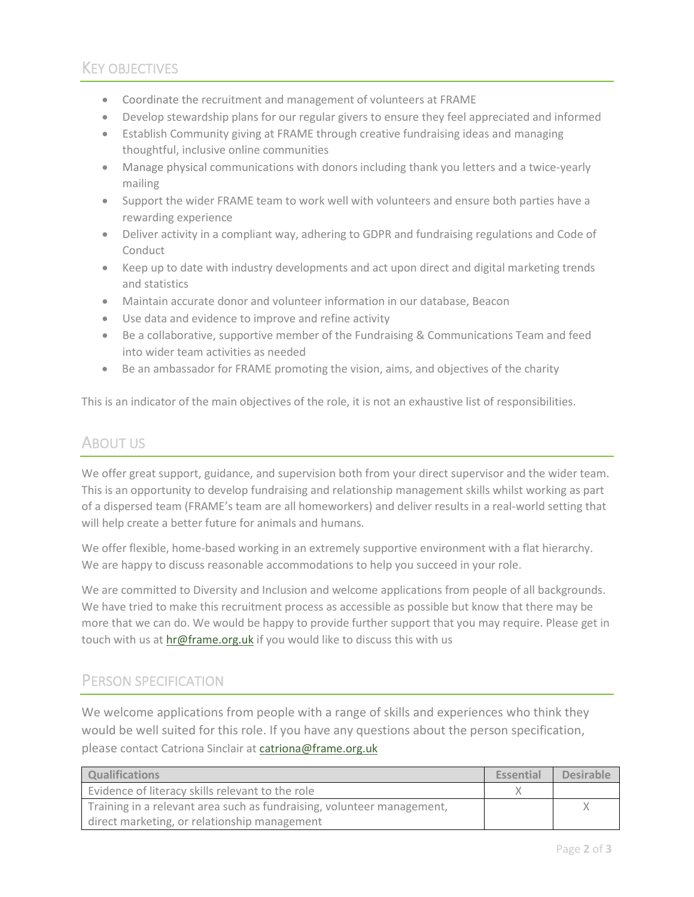- Coordinate the recruitment and management of volunteers at FRAME
- Develop stewardship plans for our regular givers to ensure they feel appreciated and informed
- Establish Community giving at FRAME through creative fundraising ideas and managing thoughtful, inclusive online communities
- Manage physical communications with donors including thank you letters and a twice-yearly mailing
- Support the wider FRAME team to work well with volunteers and ensure both parties have a rewarding experience
- Deliver activity in a compliant way, adhering to GDPR and fundraising regulations and Code of Conduct
- Keep up to date with industry developments and act upon direct and digital marketing trends and statistics
- Maintain accurate donor and volunteer information in our database, Beacon
- Use data and evidence to improve and refine activity
- Be a collaborative, supportive member of the Fundraising & Communications Team and feed into wider team activities as needed
- Be an ambassador for FRAME promoting the vision, aims, and objectives of the charity

This is an indicator of the main objectives of the role, it is not an exhaustive list of responsibilities.

## ABOUT US

We offer great support, guidance, and supervision both from your direct supervisor and the wider team. This is an opportunity to develop fundraising and relationship management skills whilst working as part of a dispersed team (FRAME's team are all homeworkers) and deliver results in a real-world setting that will help create a better future for animals and humans.

We offer flexible, home-based working in an extremely supportive environment with a flat hierarchy. We are happy to discuss reasonable accommodations to help you succeed in your role.

We are committed to Diversity and Inclusion and welcome applications from people of all backgrounds. We have tried to make this recruitment process as accessible as possible but know that there may be more that we can do. We would be happy to provide further support that you may require. Please get in touch with us a[t hr@frame.org.uk](mailto:hr@frame.org.uk) if you would like to discuss this with us

#### PERSON SPECIFICATION

We welcome applications from people with a range of skills and experiences who think they would be well suited for this role. If you have any questions about the person specification, please contact Catriona Sinclair at [catriona@frame.org.uk](mailto:catriona@frame.org.uk)

| <b>Qualifications</b>                                                  | <b>Essential</b> | <b>Desirable</b> |
|------------------------------------------------------------------------|------------------|------------------|
| Evidence of literacy skills relevant to the role                       |                  |                  |
| Training in a relevant area such as fundraising, volunteer management, |                  |                  |
| direct marketing, or relationship management                           |                  |                  |